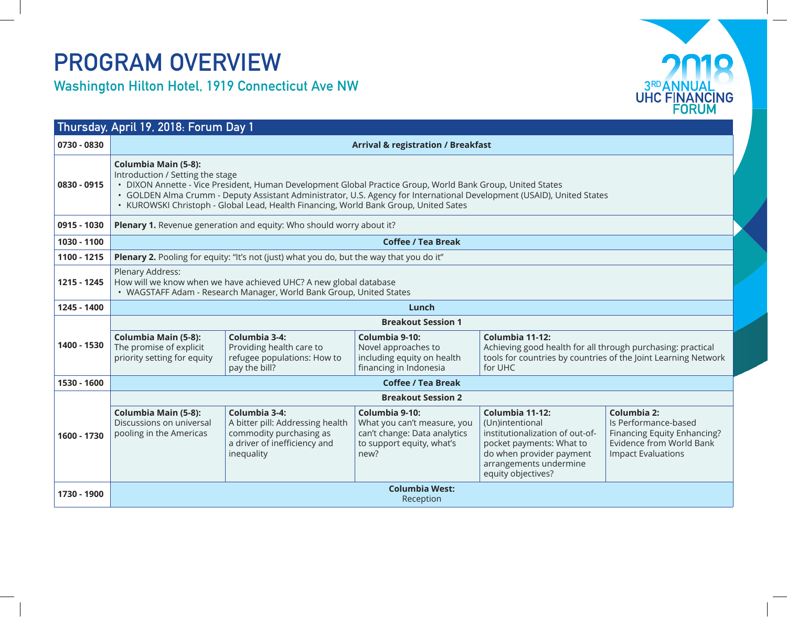## PROGRAM OVERVIEW

Washington Hilton Hotel, 1919 Connecticut Ave NW



| Thursday, April 19, 2018: Forum Day 1 |                                                                                                                                                                                                                                                                                                                                                                                                 |                                                                                                                            |                                                                                                                    |                                                                                                                                                                               |                                                                                                                                    |  |  |  |
|---------------------------------------|-------------------------------------------------------------------------------------------------------------------------------------------------------------------------------------------------------------------------------------------------------------------------------------------------------------------------------------------------------------------------------------------------|----------------------------------------------------------------------------------------------------------------------------|--------------------------------------------------------------------------------------------------------------------|-------------------------------------------------------------------------------------------------------------------------------------------------------------------------------|------------------------------------------------------------------------------------------------------------------------------------|--|--|--|
| 0730 - 0830                           | <b>Arrival &amp; registration / Breakfast</b>                                                                                                                                                                                                                                                                                                                                                   |                                                                                                                            |                                                                                                                    |                                                                                                                                                                               |                                                                                                                                    |  |  |  |
| 0830 - 0915                           | <b>Columbia Main (5-8):</b><br>Introduction / Setting the stage<br>· DIXON Annette - Vice President, Human Development Global Practice Group, World Bank Group, United States<br>· GOLDEN Alma Crumm - Deputy Assistant Administrator, U.S. Agency for International Development (USAID), United States<br>• KUROWSKI Christoph - Global Lead, Health Financing, World Bank Group, United Sates |                                                                                                                            |                                                                                                                    |                                                                                                                                                                               |                                                                                                                                    |  |  |  |
| 0915 - 1030                           | Plenary 1. Revenue generation and equity: Who should worry about it?                                                                                                                                                                                                                                                                                                                            |                                                                                                                            |                                                                                                                    |                                                                                                                                                                               |                                                                                                                                    |  |  |  |
| 1030 - 1100                           | <b>Coffee / Tea Break</b>                                                                                                                                                                                                                                                                                                                                                                       |                                                                                                                            |                                                                                                                    |                                                                                                                                                                               |                                                                                                                                    |  |  |  |
| 1100 - 1215                           | <b>Plenary 2.</b> Pooling for equity: "It's not (just) what you do, but the way that you do it"                                                                                                                                                                                                                                                                                                 |                                                                                                                            |                                                                                                                    |                                                                                                                                                                               |                                                                                                                                    |  |  |  |
| 1215 - 1245                           | Plenary Address:<br>How will we know when we have achieved UHC? A new global database<br>• WAGSTAFF Adam - Research Manager, World Bank Group, United States                                                                                                                                                                                                                                    |                                                                                                                            |                                                                                                                    |                                                                                                                                                                               |                                                                                                                                    |  |  |  |
| 1245 - 1400                           | Lunch                                                                                                                                                                                                                                                                                                                                                                                           |                                                                                                                            |                                                                                                                    |                                                                                                                                                                               |                                                                                                                                    |  |  |  |
| 1400 - 1530                           | <b>Breakout Session 1</b>                                                                                                                                                                                                                                                                                                                                                                       |                                                                                                                            |                                                                                                                    |                                                                                                                                                                               |                                                                                                                                    |  |  |  |
|                                       | <b>Columbia Main (5-8):</b><br>The promise of explicit<br>priority setting for equity                                                                                                                                                                                                                                                                                                           | Columbia 3-4:<br>Providing health care to<br>refugee populations: How to<br>pay the bill?                                  | Columbia 9-10:<br>Novel approaches to<br>including equity on health<br>financing in Indonesia                      | Columbia 11-12:<br>Achieving good health for all through purchasing: practical<br>tools for countries by countries of the Joint Learning Network<br>for UHC                   |                                                                                                                                    |  |  |  |
| 1530 - 1600                           | <b>Coffee / Tea Break</b>                                                                                                                                                                                                                                                                                                                                                                       |                                                                                                                            |                                                                                                                    |                                                                                                                                                                               |                                                                                                                                    |  |  |  |
|                                       | <b>Breakout Session 2</b>                                                                                                                                                                                                                                                                                                                                                                       |                                                                                                                            |                                                                                                                    |                                                                                                                                                                               |                                                                                                                                    |  |  |  |
| 1600 - 1730                           | <b>Columbia Main (5-8):</b><br>Discussions on universal<br>pooling in the Americas                                                                                                                                                                                                                                                                                                              | Columbia 3-4:<br>A bitter pill: Addressing health<br>commodity purchasing as<br>a driver of inefficiency and<br>inequality | Columbia 9-10:<br>What you can't measure, you<br>can't change: Data analytics<br>to support equity, what's<br>new? | Columbia 11-12:<br>(Un)intentional<br>institutionalization of out-of-<br>pocket payments: What to<br>do when provider payment<br>arrangements undermine<br>equity objectives? | Columbia 2:<br>Is Performance-based<br>Financing Equity Enhancing?<br><b>Evidence from World Bank</b><br><b>Impact Evaluations</b> |  |  |  |
| 1730 - 1900                           | <b>Columbia West:</b><br>Reception                                                                                                                                                                                                                                                                                                                                                              |                                                                                                                            |                                                                                                                    |                                                                                                                                                                               |                                                                                                                                    |  |  |  |